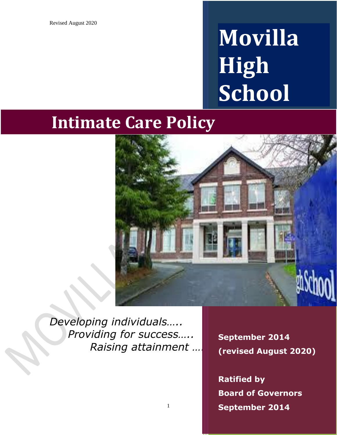# **Movilla High School**

# **Intimate Care Policy**



*Developing individuals….. Providing for success….. Raising attainment …..*

1

**September 2014 (Revised August 2020) September (revised August 2020)**

**Board of Governors Governors October 2014 September 2014 Ratified by**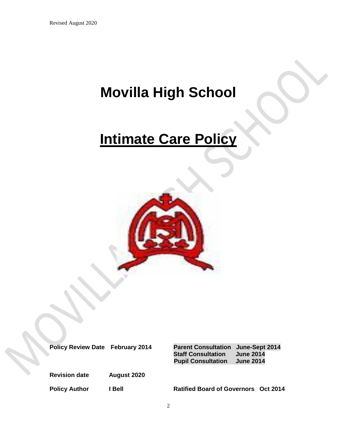### **Movilla High School**

## **Intimate Care Policy**



**Revision date August 2020**

**Policy Review Date February 2014 Parent Consultation June-Sept 2014 Staff Consultation June 2014 Pupil Consultation June 2014** 

Policy Author **I Bell Ratified Board of Governors** Oct 2014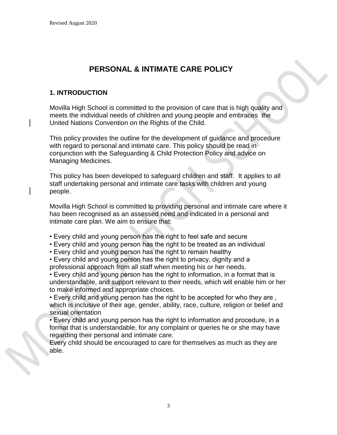### **PERSONAL & INTIMATE CARE POLICY**

#### **1. INTRODUCTION**

.

Movilla High School is committed to the provision of care that is high quality and meets the individual needs of children and young people and embraces the United Nations Convention on the Rights of the Child.

This policy provides the outline for the development of guidance and procedure with regard to personal and intimate care. This policy should be read in conjunction with the Safeguarding & Child Protection Policy and advice on Managing Medicines.

This policy has been developed to safeguard children and staff. It applies to all staff undertaking personal and intimate care tasks with children and young people.

Movilla High School is committed to providing personal and intimate care where it has been recognised as an assessed need and indicated in a personal and intimate care plan. We aim to ensure that:

- Every child and young person has the right to feel safe and secure
- Every child and young person has the right to be treated as an individual
- Every child and young person has the right to remain healthy

• Every child and young person has the right to privacy, dignity and a professional approach from all staff when meeting his or her needs.

• Every child and young person has the right to information, in a format that is understandable, and support relevant to their needs, which will enable him or her to make informed and appropriate choices.

• Every child and young person has the right to be accepted for who they are , which is inclusive of their age, gender, ability, race, culture, religion or belief and sexual orientation

• Every child and young person has the right to information and procedure, in a format that is understandable, for any complaint or queries he or she may have regarding their personal and intimate care.

Every child should be encouraged to care for themselves as much as they are able.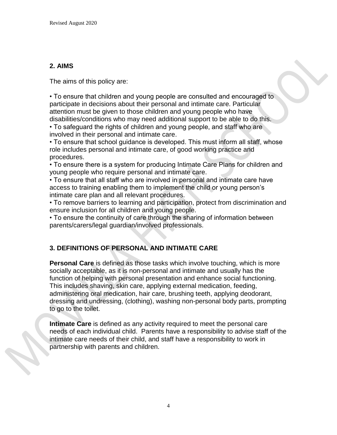#### **2. AIMS**

The aims of this policy are:

• To ensure that children and young people are consulted and encouraged to participate in decisions about their personal and intimate care. Particular attention must be given to those children and young people who have disabilities/conditions who may need additional support to be able to do this.

• To safeguard the rights of children and young people, and staff who are involved in their personal and intimate care.

• To ensure that school guidance is developed. This must inform all staff, whose role includes personal and intimate care, of good working practice and procedures.

• To ensure there is a system for producing Intimate Care Plans for children and young people who require personal and intimate care.

• To ensure that all staff who are involved in personal and intimate care have access to training enabling them to implement the child or young person's intimate care plan and all relevant procedures.

• To remove barriers to learning and participation, protect from discrimination and ensure inclusion for all children and young people.

• To ensure the continuity of care through the sharing of information between parents/carers/legal guardian/involved professionals.

#### **3. DEFINITIONS OF PERSONAL AND INTIMATE CARE**

**Personal Care** is defined as those tasks which involve touching, which is more socially acceptable, as it is non-personal and intimate and usually has the function of helping with personal presentation and enhance social functioning. This includes shaving, skin care, applying external medication, feeding, administering oral medication, hair care, brushing teeth, applying deodorant, dressing and undressing, (clothing), washing non-personal body parts, prompting to go to the toilet.

**Intimate Care** is defined as any activity required to meet the personal care needs of each individual child. Parents have a responsibility to advise staff of the intimate care needs of their child, and staff have a responsibility to work in partnership with parents and children.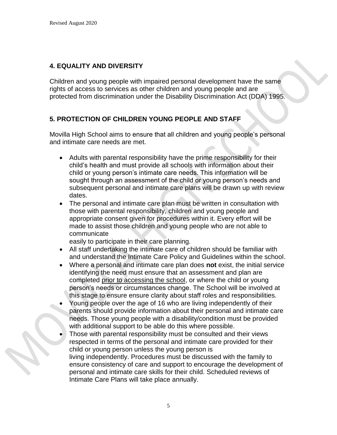### **4. EQUALITY AND DIVERSITY**

Children and young people with impaired personal development have the same rights of access to services as other children and young people and are protected from discrimination under the Disability Discrimination Act (DDA) 1995.

#### **5. PROTECTION OF CHILDREN YOUNG PEOPLE AND STAFF**

Movilla High School aims to ensure that all children and young people's personal and intimate care needs are met.

- Adults with parental responsibility have the prime responsibility for their child's health and must provide all schools with information about their child or young person's intimate care needs. This information will be sought through an assessment of the child or young person's needs and subsequent personal and intimate care plans will be drawn up with review dates.
- The personal and intimate care plan must be written in consultation with those with parental responsibility, children and young people and appropriate consent given for procedures within it. Every effort will be made to assist those children and young people who are not able to communicate

easily to participate in their care planning.

- All staff undertaking the intimate care of children should be familiar with and understand the Intimate Care Policy and Guidelines within the school.
- Where a personal and intimate care plan does **not** exist, the initial service identifying the need must ensure that an assessment and plan are completed prior to accessing the school, or where the child or young person's needs or circumstances change. The School will be involved at this stage to ensure ensure clarity about staff roles and responsibilities.
- Young people over the age of 16 who are living independently of their parents should provide information about their personal and intimate care needs. Those young people with a disability/condition must be provided with additional support to be able do this where possible.
- Those with parental responsibility must be consulted and their views respected in terms of the personal and intimate care provided for their child or young person unless the young person is living independently. Procedures must be discussed with the family to ensure consistency of care and support to encourage the development of personal and intimate care skills for their child. Scheduled reviews of Intimate Care Plans will take place annually.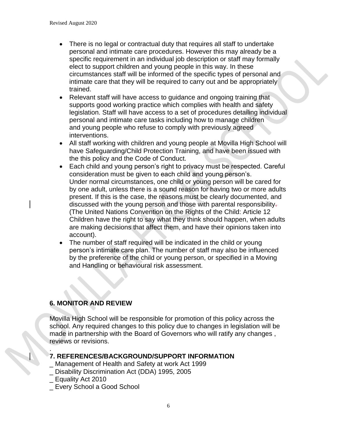- There is no legal or contractual duty that requires all staff to undertake personal and intimate care procedures. However this may already be a specific requirement in an individual job description or staff may formally elect to support children and young people in this way. In these circumstances staff will be informed of the specific types of personal and intimate care that they will be required to carry out and be appropriately trained.
- Relevant staff will have access to quidance and ongoing training that supports good working practice which complies with health and safety legislation. Staff will have access to a set of procedures detailing individual personal and intimate care tasks including how to manage children and young people who refuse to comply with previously agreed interventions.
- All staff working with children and young people at Movilla High School will have Safeguarding/Child Protection Training, and have been issued with the this policy and the Code of Conduct.
- Each child and young person's right to privacy must be respected. Careful consideration must be given to each child and young person's. Under normal circumstances, one child or young person will be cared for by one adult, unless there is a sound reason for having two or more adults present. If this is the case, the reasons must be clearly documented, and discussed with the young person and those with parental responsibility. (The United Nations Convention on the Rights of the Child: Article 12 Children have the right to say what they think should happen, when adults are making decisions that affect them, and have their opinions taken into account).
- The number of staff required will be indicated in the child or young person's intimate care plan. The number of staff may also be influenced by the preference of the child or young person, or specified in a Moving and Handling or behavioural risk assessment.

#### **6. MONITOR AND REVIEW**

Movilla High School will be responsible for promotion of this policy across the school. Any required changes to this policy due to changes in legislation will be made in partnership with the Board of Governors who will ratify any changes , reviews or revisions.

#### . **7. REFERENCES/BACKGROUND/SUPPORT INFORMATION**

- \_ Management of Health and Safety at work Act 1999
- \_ Disability Discrimination Act (DDA) 1995, 2005
- \_ Equality Act 2010

\_ Every School a Good School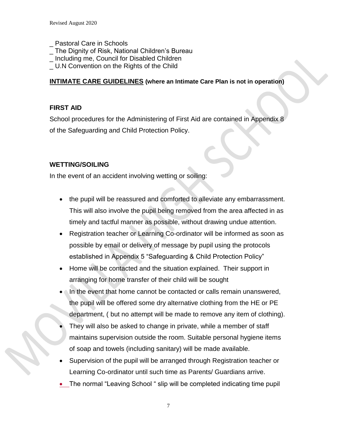- \_ Pastoral Care in Schools
- The Dignity of Risk, National Children's Bureau
- \_ Including me, Council for Disabled Children
- \_ U.N Convention on the Rights of the Child

#### **INTIMATE CARE GUIDELINES (where an Intimate Care Plan is not in operation)**

#### **FIRST AID**

School procedures for the Administering of First Aid are contained in Appendix 8 of the Safeguarding and Child Protection Policy.

#### **WETTING/SOILING**

In the event of an accident involving wetting or soiling:

- the pupil will be reassured and comforted to alleviate any embarrassment. This will also involve the pupil being removed from the area affected in as timely and tactful manner as possible, without drawing undue attention.
- Registration teacher or Learning Co-ordinator will be informed as soon as possible by email or delivery of message by pupil using the protocols established in Appendix 5 "Safeguarding & Child Protection Policy"
- Home will be contacted and the situation explained. Their support in arranging for home transfer of their child will be sought
- In the event that home cannot be contacted or calls remain unanswered, the pupil will be offered some dry alternative clothing from the HE or PE department, ( but no attempt will be made to remove any item of clothing).
- They will also be asked to change in private, while a member of staff maintains supervision outside the room. Suitable personal hygiene items of soap and towels (including sanitary) will be made available.
- Supervision of the pupil will be arranged through Registration teacher or Learning Co-ordinator until such time as Parents/ Guardians arrive.
- The normal "Leaving School " slip will be completed indicating time pupil